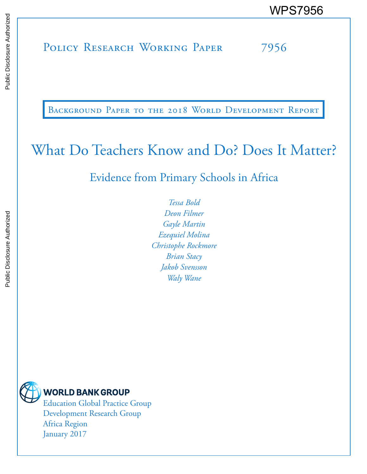# POLICY RESEARCH WORKING PAPER 7956 WPS7956<br>
Media<br>
Policy Research Working Paper 7956<br>
Sales<br>
Paper 7956

BACKGROUND PAPER TO THE 2018 WORLD DEVELOPMENT REPORT

## What Do Teachers Know and Do? Does It Matter?

Evidence from Primary Schools in Africa

*Tessa Bold Deon Filmer Gayle Martin Ezequiel Molina Christophe Rockmore Brian Stacy Jakob Svensson Waly Wane*



## **WORLD BANK GROUP**

Education Global Practice Group Development Research Group Africa Region January 2017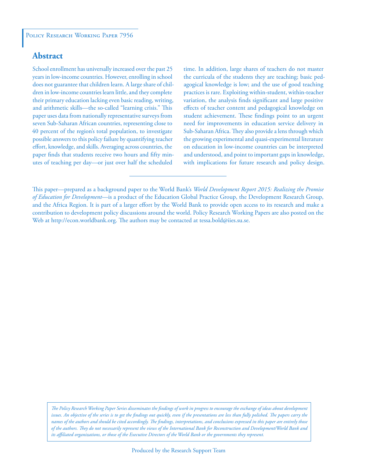### **Abstract**

School enrollment has universally increased over the past 25 years in low-income countries. However, enrolling in school does not guarantee that children learn. A large share of children in low-income countries learn little, and they complete their primary education lacking even basic reading, writing, and arithmetic skills—the so-called "learning crisis." This paper uses data from nationally representative surveys from seven Sub-Saharan African countries, representing close to 40 percent of the region's total population, to investigate possible answers to this policy failure by quantifying teacher effort, knowledge, and skills. Averaging across countries, the paper finds that students receive two hours and fifty minutes of teaching per day—or just over half the scheduled

time. In addition, large shares of teachers do not master the curricula of the students they are teaching; basic pedagogical knowledge is low; and the use of good teaching practices is rare. Exploiting within-student, within-teacher variation, the analysis finds significant and large positive effects of teacher content and pedagogical knowledge on student achievement. These findings point to an urgent need for improvements in education service delivery in Sub-Saharan Africa. They also provide a lens through which the growing experimental and quasi-experimental literature on education in low-income countries can be interpreted and understood, and point to important gaps in knowledge, with implications for future research and policy design.

*The Policy Research Working Paper Series disseminates the findings of work in progress to encourage the exchange of ideas about development*  issues. An objective of the series is to get the findings out quickly, even if the presentations are less than fully polished. The papers carry the *names of the authors and should be cited accordingly. The findings, interpretations, and conclusions expressed in this paper are entirely those of the authors. They do not necessarily represent the views of the International Bank for Reconstruction and Development/World Bank and its affiliated organizations, or those of the Executive Directors of the World Bank or the governments they represent.*

This paper—prepared as a background paper to the World Bank's *World Development Report 2015: Realizing the Promise of Education for Development*—is a product of the Education Global Practice Group, the Development Research Group, and the Africa Region. It is part of a larger effort by the World Bank to provide open access to its research and make a contribution to development policy discussions around the world. Policy Research Working Papers are also posted on the Web at http://econ.worldbank.org. The authors may be contacted at tessa.bold@iies.su.se.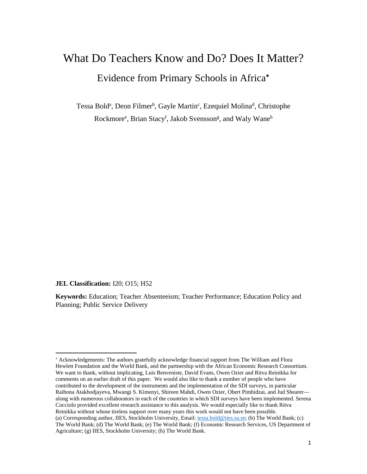# What Do Teachers Know and Do? Does It Matter? Evidence from Primary Schools in Africa

Tessa Bold<sup>a</sup>, Deon Filmer<sup>b</sup>, Gayle Martin<sup>c</sup>, Ezequiel Molina<sup>d</sup>, Christophe Rockmore<sup>e</sup>, Brian Stacy<sup>f</sup>, Jakob Svensson<sup>g</sup>, and Waly Wane<sup>h</sup>

**JEL Classification: I20**; O15; H52

**Keywords:** Education; Teacher Absenteeism; Teacher Performance; Education Policy and Planning; Public Service Delivery

 Acknowledgements: The authors gratefully acknowledge financial support from The William and Flora Hewlett Foundation and the World Bank, and the partnership with the African Economic Research Consortium. We want to thank, without implicating, Luis Benveniste, David Evans, Owen Ozier and Ritva Reinikka for comments on an earlier draft of this paper. We would also like to thank a number of people who have contributed to the development of the instruments and the implementation of the SDI surveys, in particular Raihona Atakhodjayeva, Mwangi S. Kimenyi, Shireen Mahdi, Owen Ozier, Obert Pimhidzai, and Jud Shearer along with numerous collaborators in each of the countries in which SDI surveys have been implemented. Serena Cocciolo provided excellent research assistance to this analysis. We would especially like to thank Ritva Reinikka without whose tireless support over many years this work would not have been possible. (a) Corresponding author, IIES, Stockholm University, Email: tessa.bold@iies.su.se; (b) The World Bank; (c) The World Bank; (d) The World Bank; (e) The World Bank; (f) Economic Research Services, US Department of Agriculture; (g) IIES, Stockholm University; (h) The World Bank.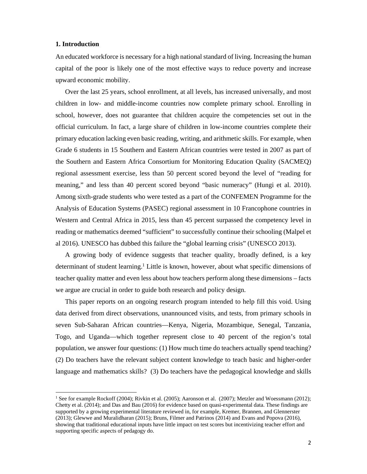#### **1. Introduction**

An educated workforce is necessary for a high national standard of living. Increasing the human capital of the poor is likely one of the most effective ways to reduce poverty and increase upward economic mobility.

Over the last 25 years, school enrollment, at all levels, has increased universally, and most children in low- and middle-income countries now complete primary school. Enrolling in school, however, does not guarantee that children acquire the competencies set out in the official curriculum. In fact, a large share of children in low-income countries complete their primary education lacking even basic reading, writing, and arithmetic skills. For example, when Grade 6 students in 15 Southern and Eastern African countries were tested in 2007 as part of the Southern and Eastern Africa Consortium for Monitoring Education Quality (SACMEQ) regional assessment exercise, less than 50 percent scored beyond the level of "reading for meaning," and less than 40 percent scored beyond "basic numeracy" (Hungi et al. 2010). Among sixth-grade students who were tested as a part of the CONFEMEN Programme for the Analysis of Education Systems (PASEC) regional assessment in 10 Francophone countries in Western and Central Africa in 2015, less than 45 percent surpassed the competency level in reading or mathematics deemed "sufficient" to successfully continue their schooling (Malpel et al 2016). UNESCO has dubbed this failure the "global learning crisis" (UNESCO 2013).

A growing body of evidence suggests that teacher quality, broadly defined, is a key determinant of student learning.<sup>1</sup> Little is known, however, about what specific dimensions of teacher quality matter and even less about how teachers perform along these dimensions – facts we argue are crucial in order to guide both research and policy design.

This paper reports on an ongoing research program intended to help fill this void. Using data derived from direct observations, unannounced visits, and tests, from primary schools in seven Sub-Saharan African countries—Kenya, Nigeria, Mozambique, Senegal, Tanzania, Togo, and Uganda—which together represent close to 40 percent of the region's total population, we answer four questions: (1) How much time do teachers actually spend teaching? (2) Do teachers have the relevant subject content knowledge to teach basic and higher-order language and mathematics skills? (3) Do teachers have the pedagogical knowledge and skills

<sup>&</sup>lt;sup>1</sup> See for example Rockoff (2004); Rivkin et al. (2005); Aaronson et al. (2007); Metzler and Woessmann (2012); Chetty et al. (2014); and Das and Bau (2016) for evidence based on quasi-experimental data. These findings are supported by a growing experimental literature reviewed in, for example, Kremer, Brannen, and Glennerster (2013); Glewwe and Muralidharan (2015); Bruns, Filmer and Patrinos (2014) and Evans and Popova (2016), showing that traditional educational inputs have little impact on test scores but incentivizing teacher effort and supporting specific aspects of pedagogy do.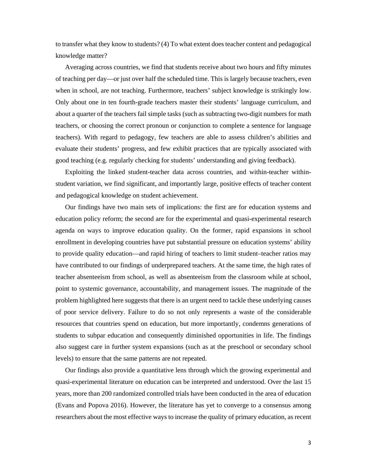to transfer what they know to students? (4) To what extent does teacher content and pedagogical knowledge matter?

Averaging across countries, we find that students receive about two hours and fifty minutes of teaching per day—or just over half the scheduled time. This is largely because teachers, even when in school, are not teaching. Furthermore, teachers' subject knowledge is strikingly low. Only about one in ten fourth-grade teachers master their students' language curriculum, and about a quarter of the teachers fail simple tasks (such as subtracting two-digit numbers for math teachers, or choosing the correct pronoun or conjunction to complete a sentence for language teachers). With regard to pedagogy, few teachers are able to assess children's abilities and evaluate their students' progress, and few exhibit practices that are typically associated with good teaching (e.g. regularly checking for students' understanding and giving feedback).

Exploiting the linked student-teacher data across countries, and within-teacher withinstudent variation, we find significant, and importantly large, positive effects of teacher content and pedagogical knowledge on student achievement.

Our findings have two main sets of implications: the first are for education systems and education policy reform; the second are for the experimental and quasi-experimental research agenda on ways to improve education quality. On the former, rapid expansions in school enrollment in developing countries have put substantial pressure on education systems' ability to provide quality education—and rapid hiring of teachers to limit student–teacher ratios may have contributed to our findings of underprepared teachers. At the same time, the high rates of teacher absenteeism from school, as well as absenteeism from the classroom while at school, point to systemic governance, accountability, and management issues. The magnitude of the problem highlighted here suggests that there is an urgent need to tackle these underlying causes of poor service delivery. Failure to do so not only represents a waste of the considerable resources that countries spend on education, but more importantly, condemns generations of students to subpar education and consequently diminished opportunities in life. The findings also suggest care in further system expansions (such as at the preschool or secondary school levels) to ensure that the same patterns are not repeated.

Our findings also provide a quantitative lens through which the growing experimental and quasi-experimental literature on education can be interpreted and understood. Over the last 15 years, more than 200 randomized controlled trials have been conducted in the area of education (Evans and Popova 2016). However, the literature has yet to converge to a consensus among researchers about the most effective ways to increase the quality of primary education, as recent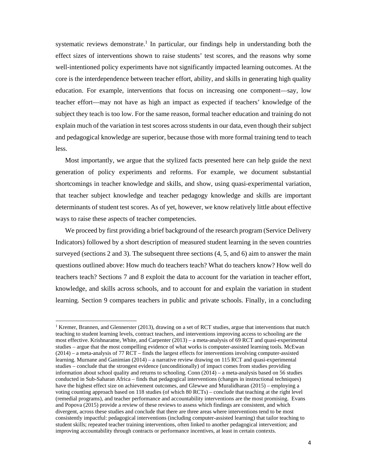systematic reviews demonstrate.<sup>1</sup> In particular, our findings help in understanding both the effect sizes of interventions shown to raise students' test scores, and the reasons why some well-intentioned policy experiments have not significantly impacted learning outcomes. At the core is the interdependence between teacher effort, ability, and skills in generating high quality education. For example, interventions that focus on increasing one component—say, low teacher effort—may not have as high an impact as expected if teachers' knowledge of the subject they teach is too low. For the same reason, formal teacher education and training do not explain much of the variation in test scores across students in our data, even though their subject and pedagogical knowledge are superior, because those with more formal training tend to teach less.

Most importantly, we argue that the stylized facts presented here can help guide the next generation of policy experiments and reforms. For example, we document substantial shortcomings in teacher knowledge and skills, and show, using quasi-experimental variation, that teacher subject knowledge and teacher pedagogy knowledge and skills are important determinants of student test scores. As of yet, however, we know relatively little about effective ways to raise these aspects of teacher competencies.

We proceed by first providing a brief background of the research program (Service Delivery Indicators) followed by a short description of measured student learning in the seven countries surveyed (sections 2 and 3). The subsequent three sections (4, 5, and 6) aim to answer the main questions outlined above: How much do teachers teach? What do teachers know? How well do teachers teach? Sections 7 and 8 exploit the data to account for the variation in teacher effort, knowledge, and skills across schools, and to account for and explain the variation in student learning. Section 9 compares teachers in public and private schools. Finally, in a concluding

<sup>&</sup>lt;sup>1</sup> Kremer, Brannen, and Glennerster (2013), drawing on a set of RCT studies, argue that interventions that match teaching to student learning levels, contract teachers, and interventions improving access to schooling are the most effective. Krishnaratne, White, and Carpenter (2013) – a meta-analysis of 69 RCT and quasi-experimental studies – argue that the most compelling evidence of what works is computer-assisted learning tools. McEwan (2014) – a meta-analysis of 77 RCT – finds the largest effects for interventions involving computer-assisted learning. Murnane and Ganimian (2014) – a narrative review drawing on 115 RCT and quasi-experimental studies – conclude that the strongest evidence (unconditionally) of impact comes from studies providing information about school quality and returns to schooling. Conn (2014) – a meta-analysis based on 56 studies conducted in Sub-Saharan Africa – finds that pedagogical interventions (changes in instructional techniques) have the highest effect size on achievement outcomes, and Glewwe and Muralidharan (2015) – employing a voting counting approach based on 118 studies (of which 80 RCTs) – conclude that teaching at the right level (remedial programs), and teacher performance and accountability interventions are the most promising. Evans and Popova (2015) provide a review of these reviews to assess which findings are consistent, and which divergent, across these studies and conclude that there are three areas where interventions tend to be most consistently impactful: pedagogical interventions (including computer-assisted learning) that tailor teaching to student skills; repeated teacher training interventions, often linked to another pedagogical intervention; and improving accountability through contracts or performance incentives, at least in certain contexts.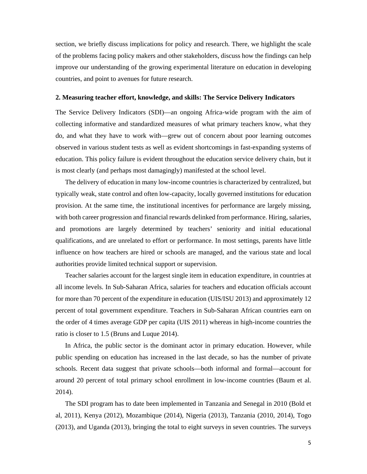section, we briefly discuss implications for policy and research. There, we highlight the scale of the problems facing policy makers and other stakeholders, discuss how the findings can help improve our understanding of the growing experimental literature on education in developing countries, and point to avenues for future research.

#### **2. Measuring teacher effort, knowledge, and skills: The Service Delivery Indicators**

The Service Delivery Indicators (SDI)—an ongoing Africa-wide program with the aim of collecting informative and standardized measures of what primary teachers know, what they do, and what they have to work with—grew out of concern about poor learning outcomes observed in various student tests as well as evident shortcomings in fast-expanding systems of education. This policy failure is evident throughout the education service delivery chain, but it is most clearly (and perhaps most damagingly) manifested at the school level.

The delivery of education in many low-income countries is characterized by centralized, but typically weak, state control and often low-capacity, locally governed institutions for education provision. At the same time, the institutional incentives for performance are largely missing, with both career progression and financial rewards delinked from performance. Hiring, salaries, and promotions are largely determined by teachers' seniority and initial educational qualifications, and are unrelated to effort or performance. In most settings, parents have little influence on how teachers are hired or schools are managed, and the various state and local authorities provide limited technical support or supervision.

Teacher salaries account for the largest single item in education expenditure, in countries at all income levels. In Sub-Saharan Africa, salaries for teachers and education officials account for more than 70 percent of the expenditure in education (UIS/ISU 2013) and approximately 12 percent of total government expenditure. Teachers in Sub-Saharan African countries earn on the order of 4 times average GDP per capita (UIS 2011) whereas in high-income countries the ratio is closer to 1.5 (Bruns and Luque 2014).

In Africa, the public sector is the dominant actor in primary education. However, while public spending on education has increased in the last decade, so has the number of private schools. Recent data suggest that private schools—both informal and formal—account for around 20 percent of total primary school enrollment in low-income countries (Baum et al. 2014).

The SDI program has to date been implemented in Tanzania and Senegal in 2010 (Bold et al, 2011), Kenya (2012), Mozambique (2014), Nigeria (2013), Tanzania (2010, 2014), Togo (2013), and Uganda (2013), bringing the total to eight surveys in seven countries. The surveys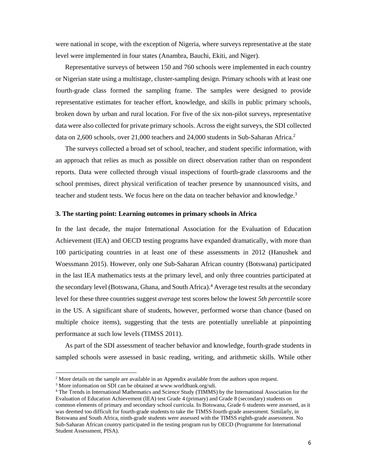were national in scope, with the exception of Nigeria, where surveys representative at the state level were implemented in four states (Anambra, Bauchi, Ekiti, and Niger).

Representative surveys of between 150 and 760 schools were implemented in each country or Nigerian state using a multistage, cluster-sampling design. Primary schools with at least one fourth-grade class formed the sampling frame. The samples were designed to provide representative estimates for teacher effort, knowledge, and skills in public primary schools, broken down by urban and rural location. For five of the six non-pilot surveys, representative data were also collected for private primary schools. Across the eight surveys, the SDI collected data on 2,600 schools, over 21,000 teachers and 24,000 students in Sub-Saharan Africa.2

The surveys collected a broad set of school, teacher, and student specific information, with an approach that relies as much as possible on direct observation rather than on respondent reports. Data were collected through visual inspections of fourth-grade classrooms and the school premises, direct physical verification of teacher presence by unannounced visits, and teacher and student tests. We focus here on the data on teacher behavior and knowledge.3

#### **3. The starting point: Learning outcomes in primary schools in Africa**

In the last decade, the major International Association for the Evaluation of Education Achievement (IEA) and OECD testing programs have expanded dramatically, with more than 100 participating countries in at least one of these assessments in 2012 (Hanushek and Woessmann 2015). However, only one Sub-Saharan African country (Botswana) participated in the last IEA mathematics tests at the primary level, and only three countries participated at the secondary level (Botswana, Ghana, and South Africa).4 Average test results at the secondary level for these three countries suggest *average* test scores below the lowest *5th percentile* score in the US. A significant share of students, however, performed worse than chance (based on multiple choice items), suggesting that the tests are potentially unreliable at pinpointing performance at such low levels (TIMSS 2011).

As part of the SDI assessment of teacher behavior and knowledge, fourth-grade students in sampled schools were assessed in basic reading, writing, and arithmetic skills. While other

 $2<sup>2</sup>$  More details on the sample are available in an Appendix available from the authors upon request.

<sup>&</sup>lt;sup>3</sup> More information on SDI can be obtained at www.worldbank.org/sdi.

<sup>4</sup> The Trends in International Mathematics and Science Study (TIMMS) by the International Association for the Evaluation of Education Achievement (IEA) test Grade 4 (primary) and Grade 8 (secondary) students on common elements of primary and secondary school curricula. In Botswana, Grade 6 students were assessed, as it was deemed too difficult for fourth-grade students to take the TIMSS fourth-grade assessment. Similarly, in Botswana and South Africa, ninth-grade students were assessed with the TIMSS eighth-grade assessment. No Sub-Saharan African country participated in the testing program run by OECD (Programme for International Student Assessment, PISA).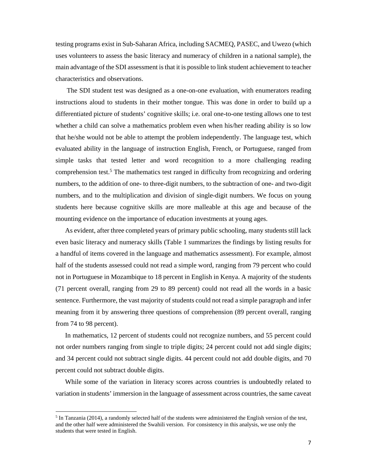testing programs exist in Sub-Saharan Africa, including SACMEQ, PASEC, and Uwezo (which uses volunteers to assess the basic literacy and numeracy of children in a national sample), the main advantage of the SDI assessment is that it is possible to link student achievement to teacher characteristics and observations.

 The SDI student test was designed as a one-on-one evaluation, with enumerators reading instructions aloud to students in their mother tongue. This was done in order to build up a differentiated picture of students' cognitive skills; i.e. oral one-to-one testing allows one to test whether a child can solve a mathematics problem even when his/her reading ability is so low that he/she would not be able to attempt the problem independently. The language test, which evaluated ability in the language of instruction English, French, or Portuguese, ranged from simple tasks that tested letter and word recognition to a more challenging reading comprehension test.<sup>5</sup> The mathematics test ranged in difficulty from recognizing and ordering numbers, to the addition of one- to three-digit numbers, to the subtraction of one- and two-digit numbers, and to the multiplication and division of single-digit numbers. We focus on young students here because cognitive skills are more malleable at this age and because of the mounting evidence on the importance of education investments at young ages.

As evident, after three completed years of primary public schooling, many students still lack even basic literacy and numeracy skills (Table 1 summarizes the findings by listing results for a handful of items covered in the language and mathematics assessment). For example, almost half of the students assessed could not read a simple word, ranging from 79 percent who could not in Portuguese in Mozambique to 18 percent in English in Kenya. A majority of the students (71 percent overall, ranging from 29 to 89 percent) could not read all the words in a basic sentence. Furthermore, the vast majority of students could not read a simple paragraph and infer meaning from it by answering three questions of comprehension (89 percent overall, ranging from 74 to 98 percent).

In mathematics, 12 percent of students could not recognize numbers, and 55 percent could not order numbers ranging from single to triple digits; 24 percent could not add single digits; and 34 percent could not subtract single digits. 44 percent could not add double digits, and 70 percent could not subtract double digits.

While some of the variation in literacy scores across countries is undoubtedly related to variation in students' immersion in the language of assessment across countries, the same caveat

 $<sup>5</sup>$  In Tanzania (2014), a randomly selected half of the students were administered the English version of the test,</sup> and the other half were administered the Swahili version. For consistency in this analysis, we use only the students that were tested in English.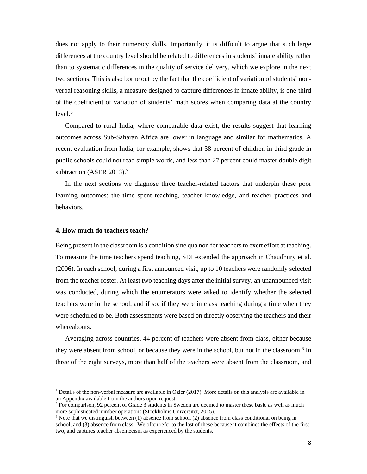does not apply to their numeracy skills. Importantly, it is difficult to argue that such large differences at the country level should be related to differences in students' innate ability rather than to systematic differences in the quality of service delivery, which we explore in the next two sections. This is also borne out by the fact that the coefficient of variation of students' nonverbal reasoning skills, a measure designed to capture differences in innate ability, is one-third of the coefficient of variation of students' math scores when comparing data at the country  $level.<sub>6</sub>$ 

Compared to rural India, where comparable data exist, the results suggest that learning outcomes across Sub-Saharan Africa are lower in language and similar for mathematics. A recent evaluation from India, for example, shows that 38 percent of children in third grade in public schools could not read simple words, and less than 27 percent could master double digit subtraction (ASER 2013).<sup>7</sup>

In the next sections we diagnose three teacher-related factors that underpin these poor learning outcomes: the time spent teaching, teacher knowledge, and teacher practices and behaviors.

#### **4. How much do teachers teach?**

Being present in the classroom is a condition sine qua non for teachers to exert effort at teaching. To measure the time teachers spend teaching, SDI extended the approach in Chaudhury et al. (2006). In each school, during a first announced visit, up to 10 teachers were randomly selected from the teacher roster. At least two teaching days after the initial survey, an unannounced visit was conducted, during which the enumerators were asked to identify whether the selected teachers were in the school, and if so, if they were in class teaching during a time when they were scheduled to be. Both assessments were based on directly observing the teachers and their whereabouts.

Averaging across countries, 44 percent of teachers were absent from class, either because they were absent from school, or because they were in the school, but not in the classroom.<sup>8</sup> In three of the eight surveys, more than half of the teachers were absent from the classroom, and

<sup>6</sup> Details of the non-verbal measure are available in Ozier (2017). More details on this analysis are available in an Appendix available from the authors upon request.

<sup>&</sup>lt;sup>7</sup> For comparison, 92 percent of Grade 3 students in Sweden are deemed to master these basic as well as much more sophisticated number operations (Stockholms Universitet, 2015).

<sup>&</sup>lt;sup>8</sup> Note that we distinguish between (1) absence from school, (2) absence from class conditional on being in school, and (3) absence from class. We often refer to the last of these because it combines the effects of the first two, and captures teacher absenteeism as experienced by the students.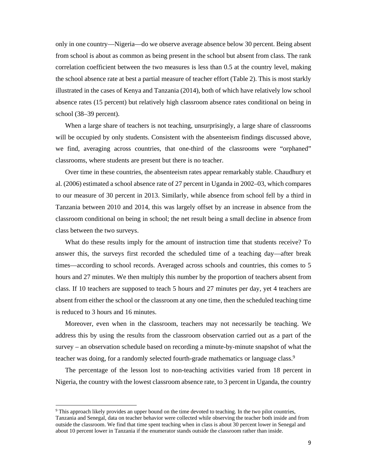only in one country—Nigeria—do we observe average absence below 30 percent. Being absent from school is about as common as being present in the school but absent from class. The rank correlation coefficient between the two measures is less than 0.5 at the country level, making the school absence rate at best a partial measure of teacher effort (Table 2). This is most starkly illustrated in the cases of Kenya and Tanzania (2014), both of which have relatively low school absence rates (15 percent) but relatively high classroom absence rates conditional on being in school (38–39 percent).

When a large share of teachers is not teaching, unsurprisingly, a large share of classrooms will be occupied by only students. Consistent with the absenteeism findings discussed above, we find, averaging across countries, that one-third of the classrooms were "orphaned" classrooms, where students are present but there is no teacher.

Over time in these countries, the absenteeism rates appear remarkably stable. Chaudhury et al. (2006) estimated a school absence rate of 27 percent in Uganda in 2002–03, which compares to our measure of 30 percent in 2013. Similarly, while absence from school fell by a third in Tanzania between 2010 and 2014, this was largely offset by an increase in absence from the classroom conditional on being in school; the net result being a small decline in absence from class between the two surveys.

What do these results imply for the amount of instruction time that students receive? To answer this, the surveys first recorded the scheduled time of a teaching day—after break times—according to school records. Averaged across schools and countries, this comes to 5 hours and 27 minutes. We then multiply this number by the proportion of teachers absent from class. If 10 teachers are supposed to teach 5 hours and 27 minutes per day, yet 4 teachers are absent from either the school or the classroom at any one time, then the scheduled teaching time is reduced to 3 hours and 16 minutes.

Moreover, even when in the classroom, teachers may not necessarily be teaching. We address this by using the results from the classroom observation carried out as a part of the survey – an observation schedule based on recording a minute-by-minute snapshot of what the teacher was doing, for a randomly selected fourth-grade mathematics or language class.9

The percentage of the lesson lost to non-teaching activities varied from 18 percent in Nigeria, the country with the lowest classroom absence rate, to 3 percent in Uganda, the country

<sup>&</sup>lt;sup>9</sup> This approach likely provides an upper bound on the time devoted to teaching. In the two pilot countries, Tanzania and Senegal, data on teacher behavior were collected while observing the teacher both inside and from outside the classroom. We find that time spent teaching when in class is about 30 percent lower in Senegal and about 10 percent lower in Tanzania if the enumerator stands outside the classroom rather than inside.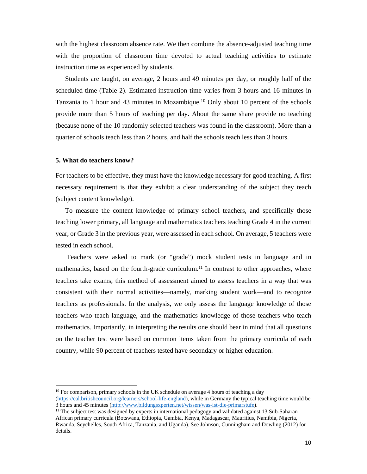with the highest classroom absence rate. We then combine the absence-adjusted teaching time with the proportion of classroom time devoted to actual teaching activities to estimate instruction time as experienced by students.

Students are taught, on average, 2 hours and 49 minutes per day, or roughly half of the scheduled time (Table 2). Estimated instruction time varies from 3 hours and 16 minutes in Tanzania to 1 hour and 43 minutes in Mozambique.10 Only about 10 percent of the schools provide more than 5 hours of teaching per day. About the same share provide no teaching (because none of the 10 randomly selected teachers was found in the classroom). More than a quarter of schools teach less than 2 hours, and half the schools teach less than 3 hours.

#### **5. What do teachers know?**

For teachers to be effective, they must have the knowledge necessary for good teaching. A first necessary requirement is that they exhibit a clear understanding of the subject they teach (subject content knowledge).

To measure the content knowledge of primary school teachers, and specifically those teaching lower primary, all language and mathematics teachers teaching Grade 4 in the current year, or Grade 3 in the previous year, were assessed in each school. On average, 5 teachers were tested in each school.

 Teachers were asked to mark (or "grade") mock student tests in language and in mathematics, based on the fourth-grade curriculum.<sup>11</sup> In contrast to other approaches, where teachers take exams, this method of assessment aimed to assess teachers in a way that was consistent with their normal activities—namely, marking student work—and to recognize teachers as professionals. In the analysis, we only assess the language knowledge of those teachers who teach language, and the mathematics knowledge of those teachers who teach mathematics. Importantly, in interpreting the results one should bear in mind that all questions on the teacher test were based on common items taken from the primary curricula of each country, while 90 percent of teachers tested have secondary or higher education.

<sup>&</sup>lt;sup>10</sup> For comparison, primary schools in the UK schedule on average 4 hours of teaching a day (https://eal.britishcouncil.org/learners/school-life-england), while in Germany the typical teaching time would be 3 hours and 45 minutes (http://www.bildungsxperten.net/wissen/was-ist-die-primarstufe).

 $11$  The subject test was designed by experts in international pedagogy and validated against 13 Sub-Saharan African primary curricula (Botswana, Ethiopia, Gambia, Kenya, Madagascar, Mauritius, Namibia, Nigeria, Rwanda, Seychelles, South Africa, Tanzania, and Uganda). See Johnson, Cunningham and Dowling (2012) for details.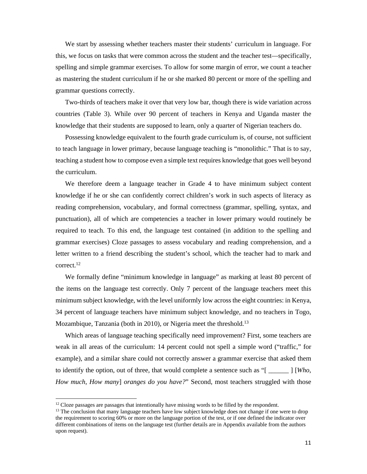We start by assessing whether teachers master their students' curriculum in language. For this, we focus on tasks that were common across the student and the teacher test—specifically, spelling and simple grammar exercises. To allow for some margin of error, we count a teacher as mastering the student curriculum if he or she marked 80 percent or more of the spelling and grammar questions correctly.

Two-thirds of teachers make it over that very low bar, though there is wide variation across countries (Table 3). While over 90 percent of teachers in Kenya and Uganda master the knowledge that their students are supposed to learn, only a quarter of Nigerian teachers do.

Possessing knowledge equivalent to the fourth grade curriculum is, of course, not sufficient to teach language in lower primary, because language teaching is "monolithic." That is to say, teaching a student how to compose even a simple text requires knowledge that goes well beyond the curriculum.

We therefore deem a language teacher in Grade 4 to have minimum subject content knowledge if he or she can confidently correct children's work in such aspects of literacy as reading comprehension, vocabulary, and formal correctness (grammar, spelling, syntax, and punctuation), all of which are competencies a teacher in lower primary would routinely be required to teach. To this end, the language test contained (in addition to the spelling and grammar exercises) Cloze passages to assess vocabulary and reading comprehension, and a letter written to a friend describing the student's school, which the teacher had to mark and correct.12

We formally define "minimum knowledge in language" as marking at least 80 percent of the items on the language test correctly. Only 7 percent of the language teachers meet this minimum subject knowledge, with the level uniformly low across the eight countries: in Kenya, 34 percent of language teachers have minimum subject knowledge, and no teachers in Togo, Mozambique, Tanzania (both in 2010), or Nigeria meet the threshold.<sup>13</sup>

Which areas of language teaching specifically need improvement? First, some teachers are weak in all areas of the curriculum: 14 percent could not spell a simple word ("traffic," for example), and a similar share could not correctly answer a grammar exercise that asked them to identify the option, out of three, that would complete a sentence such as "[ \_\_\_\_\_\_ ] [*Who*, *How much*, *How many*] *oranges do you have?*" Second, most teachers struggled with those

<sup>&</sup>lt;sup>12</sup> Cloze passages are passages that intentionally have missing words to be filled by the respondent.

<sup>&</sup>lt;sup>13</sup> The conclusion that many language teachers have low subject knowledge does not change if one were to drop the requirement to scoring 60% or more on the language portion of the test, or if one defined the indicator over different combinations of items on the language test (further details are in Appendix available from the authors upon request).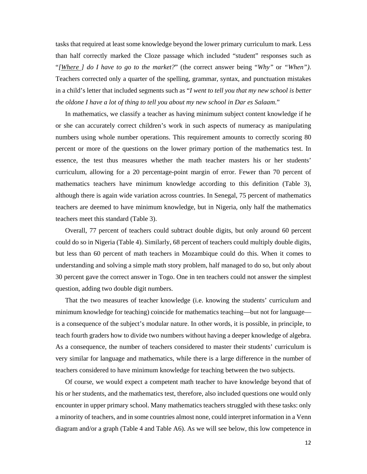tasks that required at least some knowledge beyond the lower primary curriculum to mark. Less than half correctly marked the Cloze passage which included "student" responses such as "*[Where ] do I have to go to the market?*" (the correct answer being "*Why"* or *"When")*. Teachers corrected only a quarter of the spelling, grammar, syntax, and punctuation mistakes in a child's letter that included segments such as "*I went to tell you that my new school is better the oldone I have a lot of thing to tell you about my new school in Dar es Salaam*."

In mathematics, we classify a teacher as having minimum subject content knowledge if he or she can accurately correct children's work in such aspects of numeracy as manipulating numbers using whole number operations. This requirement amounts to correctly scoring 80 percent or more of the questions on the lower primary portion of the mathematics test. In essence, the test thus measures whether the math teacher masters his or her students' curriculum, allowing for a 20 percentage-point margin of error. Fewer than 70 percent of mathematics teachers have minimum knowledge according to this definition (Table 3), although there is again wide variation across countries. In Senegal, 75 percent of mathematics teachers are deemed to have minimum knowledge, but in Nigeria, only half the mathematics teachers meet this standard (Table 3).

Overall, 77 percent of teachers could subtract double digits, but only around 60 percent could do so in Nigeria (Table 4). Similarly, 68 percent of teachers could multiply double digits, but less than 60 percent of math teachers in Mozambique could do this. When it comes to understanding and solving a simple math story problem, half managed to do so, but only about 30 percent gave the correct answer in Togo. One in ten teachers could not answer the simplest question, adding two double digit numbers.

That the two measures of teacher knowledge (i.e. knowing the students' curriculum and minimum knowledge for teaching) coincide for mathematics teaching—but not for language is a consequence of the subject's modular nature. In other words, it is possible, in principle, to teach fourth graders how to divide two numbers without having a deeper knowledge of algebra. As a consequence, the number of teachers considered to master their students' curriculum is very similar for language and mathematics, while there is a large difference in the number of teachers considered to have minimum knowledge for teaching between the two subjects.

Of course, we would expect a competent math teacher to have knowledge beyond that of his or her students, and the mathematics test, therefore, also included questions one would only encounter in upper primary school. Many mathematics teachers struggled with these tasks: only a minority of teachers, and in some countries almost none, could interpret information in a Venn diagram and/or a graph (Table 4 and Table A6). As we will see below, this low competence in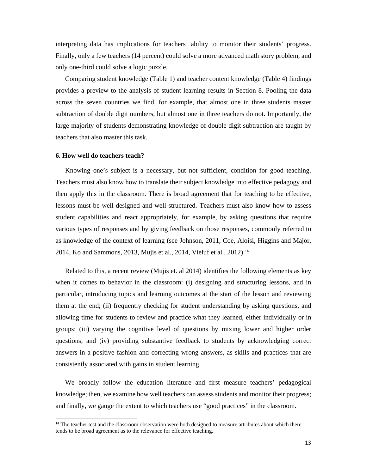interpreting data has implications for teachers' ability to monitor their students' progress. Finally, only a few teachers (14 percent) could solve a more advanced math story problem, and only one-third could solve a logic puzzle.

Comparing student knowledge (Table 1) and teacher content knowledge (Table 4) findings provides a preview to the analysis of student learning results in Section 8. Pooling the data across the seven countries we find, for example, that almost one in three students master subtraction of double digit numbers, but almost one in three teachers do not. Importantly, the large majority of students demonstrating knowledge of double digit subtraction are taught by teachers that also master this task.

#### **6. How well do teachers teach?**

Knowing one's subject is a necessary, but not sufficient, condition for good teaching. Teachers must also know how to translate their subject knowledge into effective pedagogy and then apply this in the classroom. There is broad agreement that for teaching to be effective, lessons must be well-designed and well-structured. Teachers must also know how to assess student capabilities and react appropriately, for example, by asking questions that require various types of responses and by giving feedback on those responses, commonly referred to as knowledge of the context of learning (see Johnson, 2011, Coe, Aloisi, Higgins and Major, 2014, Ko and Sammons, 2013, Mujis et al., 2014, Vieluf et al., 2012).<sup>14</sup>

Related to this, a recent review (Mujis et. al 2014) identifies the following elements as key when it comes to behavior in the classroom: (i) designing and structuring lessons, and in particular, introducing topics and learning outcomes at the start of the lesson and reviewing them at the end; (ii) frequently checking for student understanding by asking questions, and allowing time for students to review and practice what they learned, either individually or in groups; (iii) varying the cognitive level of questions by mixing lower and higher order questions; and (iv) providing substantive feedback to students by acknowledging correct answers in a positive fashion and correcting wrong answers, as skills and practices that are consistently associated with gains in student learning.

We broadly follow the education literature and first measure teachers' pedagogical knowledge; then, we examine how well teachers can assess students and monitor their progress; and finally, we gauge the extent to which teachers use "good practices" in the classroom.

<sup>&</sup>lt;sup>14</sup> The teacher test and the classroom observation were both designed to measure attributes about which there tends to be broad agreement as to the relevance for effective teaching.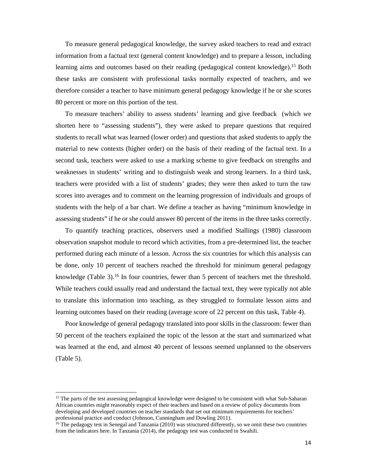To measure general pedagogical knowledge, the survey asked teachers to read and extract information from a factual text (general content knowledge) and to prepare a lesson, including learning aims and outcomes based on their reading (pedagogical content knowledge).15 Both these tasks are consistent with professional tasks normally expected of teachers, and we therefore consider a teacher to have minimum general pedagogy knowledge if he or she scores 80 percent or more on this portion of the test.

To measure teachers' ability to assess students' learning and give feedback (which we shorten here to "assessing students"), they were asked to prepare questions that required students to recall what was learned (lower order) and questions that asked students to apply the material to new contexts (higher order) on the basis of their reading of the factual text. In a second task, teachers were asked to use a marking scheme to give feedback on strengths and weaknesses in students' writing and to distinguish weak and strong learners. In a third task, teachers were provided with a list of students' grades; they were then asked to turn the raw scores into averages and to comment on the learning progression of individuals and groups of students with the help of a bar chart. We define a teacher as having "minimum knowledge in assessing students" if he or she could answer 80 percent of the items in the three tasks correctly.

To quantify teaching practices, observers used a modified Stallings (1980) classroom observation snapshot module to record which activities, from a pre-determined list, the teacher performed during each minute of a lesson. Across the six countries for which this analysis can be done, only 10 percent of teachers reached the threshold for minimum general pedagogy knowledge (Table 3).16 In four countries, fewer than 5 percent of teachers met the threshold. While teachers could usually read and understand the factual text, they were typically not able to translate this information into teaching, as they struggled to formulate lesson aims and learning outcomes based on their reading (average score of 22 percent on this task, Table 4).

Poor knowledge of general pedagogy translated into poor skills in the classroom: fewer than 50 percent of the teachers explained the topic of the lesson at the start and summarized what was learned at the end, and almost 40 percent of lessons seemed unplanned to the observers (Table 5).

<sup>&</sup>lt;sup>15</sup> The parts of the test assessing pedagogical knowledge were designed to be consistent with what Sub-Saharan African countries might reasonably expect of their teachers and based on a review of policy documents from developing and developed countries on teacher standards that set out minimum requirements for teachers' professional practice and conduct (Johnson, Cunningham and Dowling 2011).

<sup>&</sup>lt;sup>16</sup> The pedagogy test in Senegal and Tanzania (2010) was structured differently, so we omit these two countries from the indicators here. In Tanzania (2014), the pedagogy test was conducted in Swahili.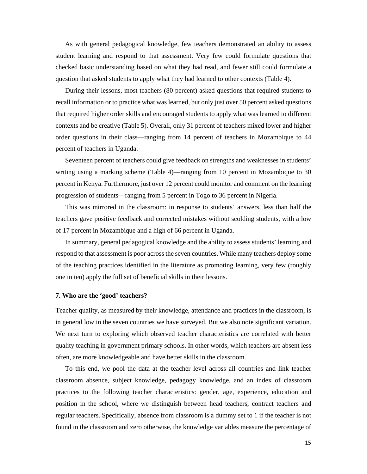As with general pedagogical knowledge, few teachers demonstrated an ability to assess student learning and respond to that assessment. Very few could formulate questions that checked basic understanding based on what they had read, and fewer still could formulate a question that asked students to apply what they had learned to other contexts (Table 4).

During their lessons, most teachers (80 percent) asked questions that required students to recall information or to practice what was learned, but only just over 50 percent asked questions that required higher order skills and encouraged students to apply what was learned to different contexts and be creative (Table 5). Overall, only 31 percent of teachers mixed lower and higher order questions in their class—ranging from 14 percent of teachers in Mozambique to 44 percent of teachers in Uganda.

Seventeen percent of teachers could give feedback on strengths and weaknesses in students' writing using a marking scheme (Table 4)—ranging from 10 percent in Mozambique to 30 percent in Kenya. Furthermore, just over 12 percent could monitor and comment on the learning progression of students—ranging from 5 percent in Togo to 36 percent in Nigeria.

This was mirrored in the classroom: in response to students' answers, less than half the teachers gave positive feedback and corrected mistakes without scolding students, with a low of 17 percent in Mozambique and a high of 66 percent in Uganda.

In summary, general pedagogical knowledge and the ability to assess students' learning and respond to that assessment is poor across the seven countries. While many teachers deploy some of the teaching practices identified in the literature as promoting learning, very few (roughly one in ten) apply the full set of beneficial skills in their lessons.

#### **7. Who are the 'good' teachers?**

Teacher quality, as measured by their knowledge, attendance and practices in the classroom, is in general low in the seven countries we have surveyed. But we also note significant variation. We next turn to exploring which observed teacher characteristics are correlated with better quality teaching in government primary schools. In other words, which teachers are absent less often, are more knowledgeable and have better skills in the classroom.

To this end, we pool the data at the teacher level across all countries and link teacher classroom absence, subject knowledge, pedagogy knowledge, and an index of classroom practices to the following teacher characteristics: gender, age, experience, education and position in the school, where we distinguish between head teachers, contract teachers and regular teachers. Specifically, absence from classroom is a dummy set to 1 if the teacher is not found in the classroom and zero otherwise, the knowledge variables measure the percentage of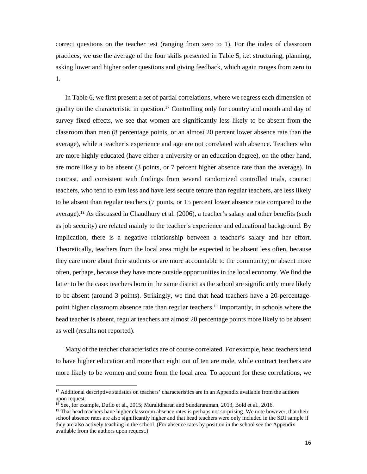correct questions on the teacher test (ranging from zero to 1). For the index of classroom practices, we use the average of the four skills presented in Table 5, i.e. structuring, planning, asking lower and higher order questions and giving feedback, which again ranges from zero to 1.

In Table 6, we first present a set of partial correlations, where we regress each dimension of quality on the characteristic in question.<sup>17</sup> Controlling only for country and month and day of survey fixed effects, we see that women are significantly less likely to be absent from the classroom than men (8 percentage points, or an almost 20 percent lower absence rate than the average), while a teacher's experience and age are not correlated with absence. Teachers who are more highly educated (have either a university or an education degree), on the other hand, are more likely to be absent (3 points, or 7 percent higher absence rate than the average). In contrast, and consistent with findings from several randomized controlled trials, contract teachers, who tend to earn less and have less secure tenure than regular teachers, are less likely to be absent than regular teachers (7 points, or 15 percent lower absence rate compared to the average).18 As discussed in Chaudhury et al. (2006), a teacher's salary and other benefits (such as job security) are related mainly to the teacher's experience and educational background. By implication, there is a negative relationship between a teacher's salary and her effort. Theoretically, teachers from the local area might be expected to be absent less often, because they care more about their students or are more accountable to the community; or absent more often, perhaps, because they have more outside opportunities in the local economy. We find the latter to be the case: teachers born in the same district as the school are significantly more likely to be absent (around 3 points). Strikingly, we find that head teachers have a 20-percentagepoint higher classroom absence rate than regular teachers.19 Importantly, in schools where the head teacher is absent, regular teachers are almost 20 percentage points more likely to be absent as well (results not reported).

Many of the teacher characteristics are of course correlated. For example, head teachers tend to have higher education and more than eight out of ten are male, while contract teachers are more likely to be women and come from the local area. To account for these correlations, we

<sup>&</sup>lt;sup>17</sup> Additional descriptive statistics on teachers' characteristics are in an Appendix available from the authors upon request.

<sup>&</sup>lt;sup>18</sup> See, for example, Duflo et al., 2015; Muralidharan and Sundararaman, 2013, Bold et al., 2016.

<sup>&</sup>lt;sup>19</sup> That head teachers have higher classroom absence rates is perhaps not surprising. We note however, that their school absence rates are also significantly higher and that head teachers were only included in the SDI sample if they are also actively teaching in the school. (For absence rates by position in the school see the Appendix available from the authors upon request.)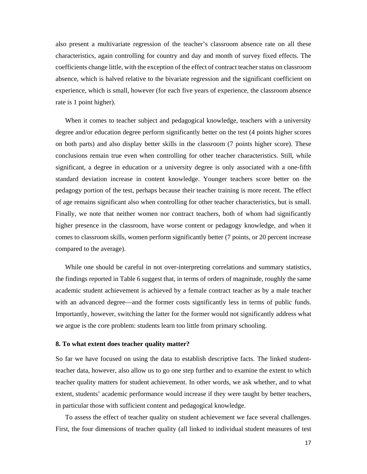also present a multivariate regression of the teacher's classroom absence rate on all these characteristics, again controlling for country and day and month of survey fixed effects. The coefficients change little, with the exception of the effect of contract teacher status on classroom absence, which is halved relative to the bivariate regression and the significant coefficient on experience, which is small, however (for each five years of experience, the classroom absence rate is 1 point higher).

When it comes to teacher subject and pedagogical knowledge, teachers with a university degree and/or education degree perform significantly better on the test (4 points higher scores on both parts) and also display better skills in the classroom (7 points higher score). These conclusions remain true even when controlling for other teacher characteristics. Still, while significant, a degree in education or a university degree is only associated with a one-fifth standard deviation increase in content knowledge. Younger teachers score better on the pedagogy portion of the test, perhaps because their teacher training is more recent. The effect of age remains significant also when controlling for other teacher characteristics, but is small. Finally, we note that neither women nor contract teachers, both of whom had significantly higher presence in the classroom, have worse content or pedagogy knowledge, and when it comes to classroom skills, women perform significantly better (7 points, or 20 percent increase compared to the average).

While one should be careful in not over-interpreting correlations and summary statistics, the findings reported in Table 6 suggest that, in terms of orders of magnitude, roughly the same academic student achievement is achieved by a female contract teacher as by a male teacher with an advanced degree—and the former costs significantly less in terms of public funds. Importantly, however, switching the latter for the former would not significantly address what we argue is the core problem: students learn too little from primary schooling.

#### **8. To what extent does teacher quality matter?**

So far we have focused on using the data to establish descriptive facts. The linked studentteacher data, however, also allow us to go one step further and to examine the extent to which teacher quality matters for student achievement. In other words, we ask whether, and to what extent, students' academic performance would increase if they were taught by better teachers, in particular those with sufficient content and pedagogical knowledge.

 To assess the effect of teacher quality on student achievement we face several challenges. First, the four dimensions of teacher quality (all linked to individual student measures of test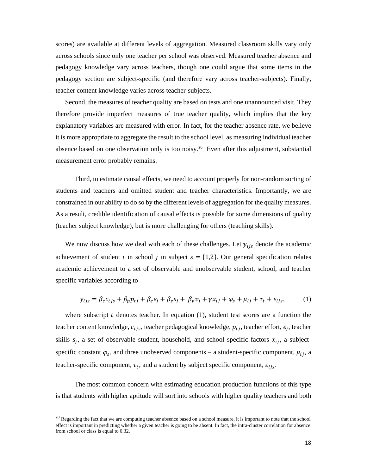scores) are available at different levels of aggregation. Measured classroom skills vary only across schools since only one teacher per school was observed. Measured teacher absence and pedagogy knowledge vary across teachers, though one could argue that some items in the pedagogy section are subject-specific (and therefore vary across teacher-subjects). Finally, teacher content knowledge varies across teacher-subjects.

Second, the measures of teacher quality are based on tests and one unannounced visit. They therefore provide imperfect measures of true teacher quality, which implies that the key explanatory variables are measured with error. In fact, for the teacher absence rate, we believe it is more appropriate to aggregate the result to the school level, as measuring individual teacher absence based on one observation only is too noisy.20 Even after this adjustment, substantial measurement error probably remains.

 Third, to estimate causal effects, we need to account properly for non-random sorting of students and teachers and omitted student and teacher characteristics. Importantly, we are constrained in our ability to do so by the different levels of aggregation for the quality measures. As a result, credible identification of causal effects is possible for some dimensions of quality (teacher subject knowledge), but is more challenging for others (teaching skills).

We now discuss how we deal with each of these challenges. Let  $y_{ijs}$  denote the academic achievement of student *i* in school *j* in subject  $s = \{1,2\}$ . Our general specification relates academic achievement to a set of observable and unobservable student, school, and teacher specific variables according to

$$
y_{ijs} = \beta_c c_{tjs} + \beta_p p_{tj} + \beta_e e_j + \beta_e s_j + \beta_v v_j + \gamma x_{ij} + \varphi_s + \mu_{ij} + \tau_t + \varepsilon_{ijs},\tag{1}
$$

where subscript  $t$  denotes teacher. In equation (1), student test scores are a function the teacher content knowledge,  $c_{tjs}$ , teacher pedagogical knowledge,  $p_{tj}$ , teacher effort,  $e_j$ , teacher skills  $s_j$ , a set of observable student, household, and school specific factors  $x_{ij}$ , a subjectspecific constant  $\varphi_s$ , and three unobserved components – a student-specific component,  $\mu_{ij}$ , a teacher-specific component,  $\tau_t$ , and a student by subject specific component,  $\varepsilon_{ijs}$ .

 The most common concern with estimating education production functions of this type is that students with higher aptitude will sort into schools with higher quality teachers and both

<sup>&</sup>lt;sup>20</sup> Regarding the fact that we are computing teacher absence based on a school measure, it is important to note that the school effect is important in predicting whether a given teacher is going to be absent. In fact, the intra-cluster correlation for absence from school or class is equal to 0.32.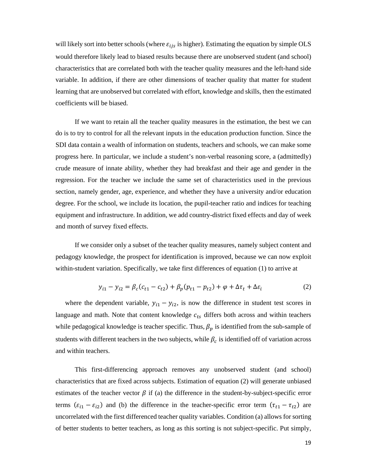will likely sort into better schools (where  $\varepsilon_{ijs}$  is higher). Estimating the equation by simple OLS would therefore likely lead to biased results because there are unobserved student (and school) characteristics that are correlated both with the teacher quality measures and the left-hand side variable. In addition, if there are other dimensions of teacher quality that matter for student learning that are unobserved but correlated with effort, knowledge and skills, then the estimated coefficients will be biased.

 If we want to retain all the teacher quality measures in the estimation, the best we can do is to try to control for all the relevant inputs in the education production function. Since the SDI data contain a wealth of information on students, teachers and schools, we can make some progress here. In particular, we include a student's non-verbal reasoning score, a (admittedly) crude measure of innate ability, whether they had breakfast and their age and gender in the regression. For the teacher we include the same set of characteristics used in the previous section, namely gender, age, experience, and whether they have a university and/or education degree. For the school, we include its location, the pupil-teacher ratio and indices for teaching equipment and infrastructure. In addition, we add country-district fixed effects and day of week and month of survey fixed effects.

 If we consider only a subset of the teacher quality measures, namely subject content and pedagogy knowledge, the prospect for identification is improved, because we can now exploit within-student variation. Specifically, we take first differences of equation (1) to arrive at

$$
y_{i1} - y_{i2} = \beta_c (c_{t1} - c_{t2}) + \beta_p (p_{t1} - p_{t2}) + \varphi + \Delta \tau_t + \Delta \varepsilon_i
$$
 (2)

where the dependent variable,  $y_{i1} - y_{i2}$ , is now the difference in student test scores in language and math. Note that content knowledge  $c_{ts}$  differs both across and within teachers while pedagogical knowledge is teacher specific. Thus,  $\beta_p$  is identified from the sub-sample of students with different teachers in the two subjects, while  $\beta_c$  is identified off of variation across and within teachers.

 This first-differencing approach removes any unobserved student (and school) characteristics that are fixed across subjects. Estimation of equation (2) will generate unbiased estimates of the teacher vector  $\beta$  if (a) the difference in the student-by-subject-specific error terms  $(\varepsilon_{i1} - \varepsilon_{i2})$  and (b) the difference in the teacher-specific error term  $(\tau_{t1} - \tau_{t2})$  are uncorrelated with the first differenced teacher quality variables. Condition (a) allows for sorting of better students to better teachers, as long as this sorting is not subject-specific. Put simply,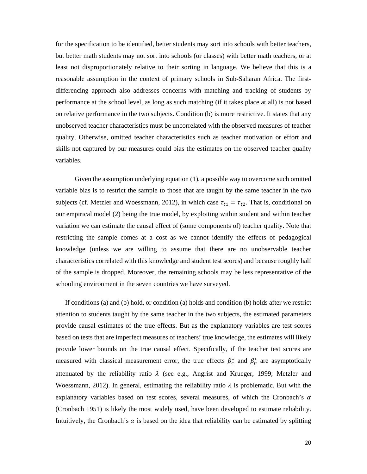for the specification to be identified, better students may sort into schools with better teachers, but better math students may not sort into schools (or classes) with better math teachers, or at least not disproportionately relative to their sorting in language. We believe that this is a reasonable assumption in the context of primary schools in Sub-Saharan Africa. The firstdifferencing approach also addresses concerns with matching and tracking of students by performance at the school level, as long as such matching (if it takes place at all) is not based on relative performance in the two subjects. Condition (b) is more restrictive. It states that any unobserved teacher characteristics must be uncorrelated with the observed measures of teacher quality. Otherwise, omitted teacher characteristics such as teacher motivation or effort and skills not captured by our measures could bias the estimates on the observed teacher quality variables.

 Given the assumption underlying equation (1), a possible way to overcome such omitted variable bias is to restrict the sample to those that are taught by the same teacher in the two subjects (cf. Metzler and Woessmann, 2012), in which case  $\tau_{t1} = \tau_{t2}$ . That is, conditional on our empirical model (2) being the true model, by exploiting within student and within teacher variation we can estimate the causal effect of (some components of) teacher quality. Note that restricting the sample comes at a cost as we cannot identify the effects of pedagogical knowledge (unless we are willing to assume that there are no unobservable teacher characteristics correlated with this knowledge and student test scores) and because roughly half of the sample is dropped. Moreover, the remaining schools may be less representative of the schooling environment in the seven countries we have surveyed.

If conditions (a) and (b) hold, or condition (a) holds and condition (b) holds after we restrict attention to students taught by the same teacher in the two subjects, the estimated parameters provide causal estimates of the true effects. But as the explanatory variables are test scores based on tests that are imperfect measures of teachers' true knowledge, the estimates will likely provide lower bounds on the true causal effect. Specifically, if the teacher test scores are measured with classical measurement error, the true effects  $\beta_c^*$  and  $\beta_p^*$  are asymptotically attenuated by the reliability ratio  $\lambda$  (see e.g., Angrist and Krueger, 1999; Metzler and Woessmann, 2012). In general, estimating the reliability ratio  $\lambda$  is problematic. But with the explanatory variables based on test scores, several measures, of which the Cronbach's  $\alpha$ (Cronbach 1951) is likely the most widely used, have been developed to estimate reliability. Intuitively, the Cronbach's  $\alpha$  is based on the idea that reliability can be estimated by splitting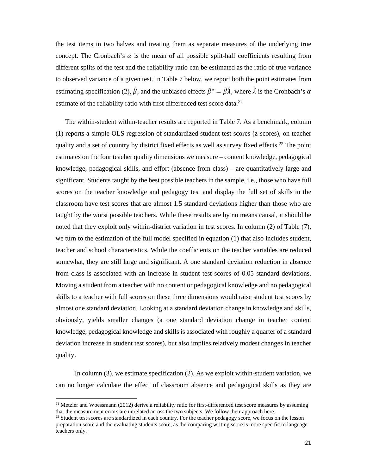the test items in two halves and treating them as separate measures of the underlying true concept. The Cronbach's  $\alpha$  is the mean of all possible split-half coefficients resulting from different splits of the test and the reliability ratio can be estimated as the ratio of true variance to observed variance of a given test. In Table 7 below, we report both the point estimates from estimating specification (2),  $\hat{\beta}$ , and the unbiased effects  $\hat{\beta}^* = \hat{\beta}\hat{\lambda}$ , where  $\hat{\lambda}$  is the Cronbach's  $\alpha$ estimate of the reliability ratio with first differenced test score data.<sup>21</sup>

The within-student within-teacher results are reported in Table 7. As a benchmark, column (1) reports a simple OLS regression of standardized student test scores (z-scores), on teacher quality and a set of country by district fixed effects as well as survey fixed effects.22 The point estimates on the four teacher quality dimensions we measure – content knowledge, pedagogical knowledge, pedagogical skills, and effort (absence from class) – are quantitatively large and significant. Students taught by the best possible teachers in the sample, i.e., those who have full scores on the teacher knowledge and pedagogy test and display the full set of skills in the classroom have test scores that are almost 1.5 standard deviations higher than those who are taught by the worst possible teachers. While these results are by no means causal, it should be noted that they exploit only within-district variation in test scores. In column (2) of Table (7), we turn to the estimation of the full model specified in equation (1) that also includes student, teacher and school characteristics. While the coefficients on the teacher variables are reduced somewhat, they are still large and significant. A one standard deviation reduction in absence from class is associated with an increase in student test scores of 0.05 standard deviations. Moving a student from a teacher with no content or pedagogical knowledge and no pedagogical skills to a teacher with full scores on these three dimensions would raise student test scores by almost one standard deviation. Looking at a standard deviation change in knowledge and skills, obviously, yields smaller changes (a one standard deviation change in teacher content knowledge, pedagogical knowledge and skills is associated with roughly a quarter of a standard deviation increase in student test scores), but also implies relatively modest changes in teacher quality.

 In column (3), we estimate specification (2). As we exploit within-student variation, we can no longer calculate the effect of classroom absence and pedagogical skills as they are

<sup>&</sup>lt;sup>21</sup> Metzler and Woessmann (2012) derive a reliability ratio for first-differenced test score measures by assuming that the measurement errors are unrelated across the two subjects. We follow their approach here.

<sup>&</sup>lt;sup>22</sup> Student test scores are standardized in each country. For the teacher pedagogy score, we focus on the lesson preparation score and the evaluating students score, as the comparing writing score is more specific to language teachers only.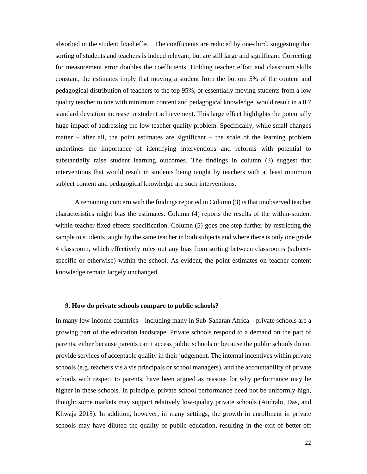absorbed in the student fixed effect. The coefficients are reduced by one-third, suggesting that sorting of students and teachers is indeed relevant, but are still large and significant. Correcting for measurement error doubles the coefficients. Holding teacher effort and classroom skills constant, the estimates imply that moving a student from the bottom 5% of the content and pedagogical distribution of teachers to the top 95%, or essentially moving students from a low quality teacher to one with minimum content and pedagogical knowledge, would result in a 0.7 standard deviation increase in student achievement. This large effect highlights the potentially huge impact of addressing the low teacher quality problem. Specifically, while small changes matter – after all, the point estimates are significant – the scale of the learning problem underlines the importance of identifying interventions and reforms with potential to substantially raise student learning outcomes. The findings in column (3) suggest that interventions that would result in students being taught by teachers with at least minimum subject content and pedagogical knowledge are such interventions.

 A remaining concern with the findings reported in Column (3) is that unobserved teacher characteristics might bias the estimates. Column (4) reports the results of the within-student within-teacher fixed effects specification. Column (5) goes one step further by restricting the sample to students taught by the same teacher in both subjects and where there is only one grade 4 classroom, which effectively rules out any bias from sorting between classrooms (subjectspecific or otherwise) within the school. As evident, the point estimates on teacher content knowledge remain largely unchanged.

#### **9. How do private schools compare to public schools?**

In many low-income countries—including many in Sub-Saharan Africa—private schools are a growing part of the education landscape. Private schools respond to a demand on the part of parents, either because parents can't access public schools or because the public schools do not provide services of acceptable quality in their judgement. The internal incentives within private schools (e.g. teachers vis a vis principals or school managers), and the accountability of private schools with respect to parents, have been argued as reasons for why performance may be higher in these schools. In principle, private school performance need not be uniformly high, though: some markets may support relatively low-quality private schools (Andrabi, Das, and Khwaja 2015). In addition, however, in many settings, the growth in enrollment in private schools may have diluted the quality of public education, resulting in the exit of better-off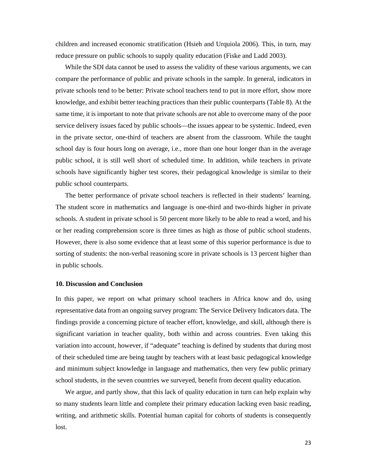children and increased economic stratification (Hsieh and Urquiola 2006). This, in turn, may reduce pressure on public schools to supply quality education (Fiske and Ladd 2003).

While the SDI data cannot be used to assess the validity of these various arguments, we can compare the performance of public and private schools in the sample. In general, indicators in private schools tend to be better: Private school teachers tend to put in more effort, show more knowledge, and exhibit better teaching practices than their public counterparts (Table 8). At the same time, it is important to note that private schools are not able to overcome many of the poor service delivery issues faced by public schools—the issues appear to be systemic. Indeed, even in the private sector, one-third of teachers are absent from the classroom. While the taught school day is four hours long on average, i.e., more than one hour longer than in the average public school, it is still well short of scheduled time. In addition, while teachers in private schools have significantly higher test scores, their pedagogical knowledge is similar to their public school counterparts.

The better performance of private school teachers is reflected in their students' learning. The student score in mathematics and language is one-third and two-thirds higher in private schools. A student in private school is 50 percent more likely to be able to read a word, and his or her reading comprehension score is three times as high as those of public school students. However, there is also some evidence that at least some of this superior performance is due to sorting of students: the non-verbal reasoning score in private schools is 13 percent higher than in public schools.

#### **10. Discussion and Conclusion**

In this paper, we report on what primary school teachers in Africa know and do, using representative data from an ongoing survey program: The Service Delivery Indicators data. The findings provide a concerning picture of teacher effort, knowledge, and skill, although there is significant variation in teacher quality, both within and across countries. Even taking this variation into account, however, if "adequate" teaching is defined by students that during most of their scheduled time are being taught by teachers with at least basic pedagogical knowledge and minimum subject knowledge in language and mathematics, then very few public primary school students, in the seven countries we surveyed, benefit from decent quality education.

We argue, and partly show, that this lack of quality education in turn can help explain why so many students learn little and complete their primary education lacking even basic reading, writing, and arithmetic skills. Potential human capital for cohorts of students is consequently lost.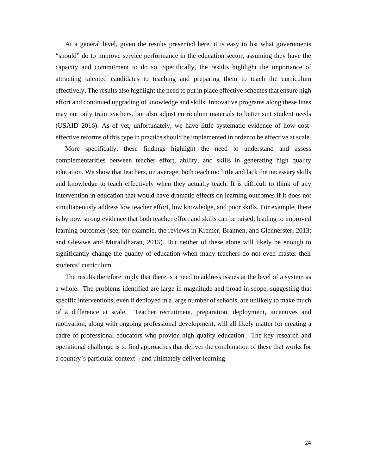At a general level, given the results presented here, it is easy to list what governments "should" do to improve service performance in the education sector, assuming they have the capacity and commitment to do so. Specifically, the results highlight the importance of attracting talented candidates to teaching and preparing them to teach the curriculum effectively. The results also highlight the need to put in place effective schemes that ensure high effort and continued upgrading of knowledge and skills. Innovative programs along these lines may not only train teachers, but also adjust curriculum materials to better suit student needs (USAID 2016). As of yet, unfortunately, we have little systematic evidence of how costeffective reforms of this type in practice should be implemented in order to be effective at scale.

More specifically, these findings highlight the need to understand and assess complementarities between teacher effort, ability, and skills in generating high quality education. We show that teachers, on average, both teach too little and lack the necessary skills and knowledge to teach effectively when they actually teach. It is difficult to think of any intervention in education that would have dramatic effects on learning outcomes if it does not simultaneously address low teacher effort, low knowledge, and poor skills. For example, there is by now strong evidence that both teacher effort and skills can be raised, leading to improved learning outcomes (see, for example, the reviews in Kremer, Brannen, and Glennerster, 2013; and Glewwe and Muralidharan, 2015). But neither of these alone will likely be enough to significantly change the quality of education when many teachers do not even master their students' curriculum.

The results therefore imply that there is a need to address issues at the level of a system as a whole. The problems identified are large in magnitude and broad in scope, suggesting that specific interventions, even if deployed in a large number of schools, are unlikely to make much of a difference at scale. Teacher recruitment, preparation, deployment, incentives and motivation, along with ongoing professional development, will all likely matter for creating a cadre of professional educators who provide high quality education. The key research and operational challenge is to find approaches that deliver the combination of these that works for a country's particular context—and ultimately deliver learning.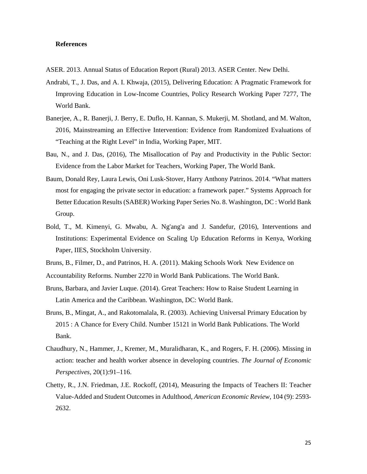#### **References**

- ASER. 2013. Annual Status of Education Report (Rural) 2013. ASER Center. New Delhi.
- Andrabi, T., J. Das, and A. I. Khwaja, (2015), Delivering Education: A Pragmatic Framework for Improving Education in Low-Income Countries, Policy Research Working Paper 7277, The World Bank.
- Banerjee, A., R. Banerji, J. Berry, E. Duflo, H. Kannan, S. Mukerji, M. Shotland, and M. Walton, 2016, Mainstreaming an Effective Intervention: Evidence from Randomized Evaluations of "Teaching at the Right Level" in India, Working Paper, MIT.
- Bau, N., and J. Das, (2016), The Misallocation of Pay and Productivity in the Public Sector: Evidence from the Labor Market for Teachers, Working Paper, The World Bank.
- Baum, Donald Rey, Laura Lewis, Oni Lusk-Stover, Harry Anthony Patrinos. 2014. "What matters most for engaging the private sector in education: a framework paper." Systems Approach for Better Education Results (SABER) Working Paper Series No. 8. Washington, DC : World Bank Group.
- Bold, T., M. Kimenyi, G. Mwabu, A. Ng'ang'a and J. Sandefur, (2016), Interventions and Institutions: Experimental Evidence on Scaling Up Education Reforms in Kenya, Working Paper, IIES, Stockholm University.
- Bruns, B., Filmer, D., and Patrinos, H. A. (2011). Making Schools Work New Evidence on Accountability Reforms. Number 2270 in World Bank Publications. The World Bank.
- 
- Bruns, Barbara, and Javier Luque. (2014). Great Teachers: How to Raise Student Learning in Latin America and the Caribbean. Washington, DC: World Bank.
- Bruns, B., Mingat, A., and Rakotomalala, R. (2003). Achieving Universal Primary Education by 2015 : A Chance for Every Child. Number 15121 in World Bank Publications. The World Bank.
- Chaudhury, N., Hammer, J., Kremer, M., Muralidharan, K., and Rogers, F. H. (2006). Missing in action: teacher and health worker absence in developing countries. *The Journal of Economic Perspectives*, 20(1):91–116.
- Chetty, R., J.N. Friedman, J.E. Rockoff, (2014), Measuring the Impacts of Teachers II: Teacher Value-Added and Student Outcomes in Adulthood, *American Economic Review*, 104 (9): 2593- 2632.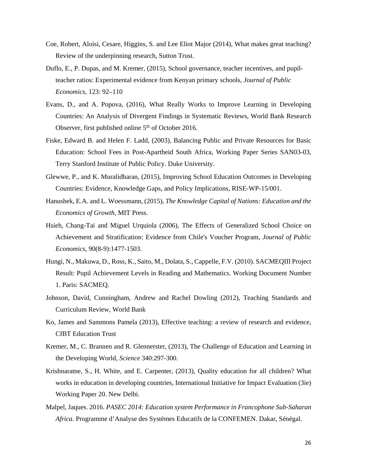- Coe, Robert, Aloisi, Cesare, Higgins, S. and Lee Eliot Major (2014), What makes great teaching? Review of the underpinning research, Sutton Trust.
- Duflo, E., P. Dupas, and M. Kremer, (2015), School governance, teacher incentives, and pupilteacher ratios: Experimental evidence from Kenyan primary schools, *Journal of Public Economics*, 123: 92–110
- Evans, D., and A. Popova, (2016), What Really Works to Improve Learning in Developing Countries: An Analysis of Divergent Findings in Systematic Reviews, World Bank Research Observer, first published online  $5<sup>th</sup>$  of October 2016.
- Fiske, Edward B. and Helen F. Ladd, (2003), Balancing Public and Private Resources for Basic Education: School Fees in Post-Apartheid South Africa, Working Paper Series SAN03-03, Terry Stanford Institute of Public Policy. Duke University.
- Glewwe, P., and K. Muralidharan, (2015), Improving School Education Outcomes in Developing Countries: Evidence, Knowledge Gaps, and Policy Implications, RISE-WP-15/001.
- Hanushek, E.A. and L. Woessmann, (2015), *The Knowledge Capital of Nations: Education and the Economics of Growth*, MIT Press.
- Hsieh, Chang-Tai and Miguel Urquiola (2006), The Effects of Generalized School Choice on Achievement and Stratification: Evidence from Chile's Voucher Program, *Journal of Public Economics*, 90(8-9):1477-1503.
- Hungi, N., Makuwa, D., Ross, K., Saito, M., Dolata, S., Cappelle, F.V. (2010). SACMEQIII Project Result: Pupil Achievement Levels in Reading and Mathematics. Working Document Number 1. Paris: SACMEQ.
- Johnson, David, Cunningham, Andrew and Rachel Dowling (2012), Teaching Standards and Curriculum Review, World Bank
- Ko, James and Sammons Pamela (2013), Effective teaching: a review of research and evidence, CfBT Education Trust
- Kremer, M., C. Brannen and R. Glennerster, (2013), The Challenge of Education and Learning in the Developing World, *Science* 340:297-300.
- Krishnaratne, S., H. White, and E. Carpenter, (2013), Quality education for all children? What works in education in developing countries, International Initiative for Impact Evaluation (3ie) Working Paper 20. New Delhi.
- Malpel, Jaques. 2016. *PASEC 2014: Education system Performance in Francophone Sub-Saharan Africa*. Programme d'Analyse des Systèmes Educatifs de la CONFEMEN. Dakar, Sénégal.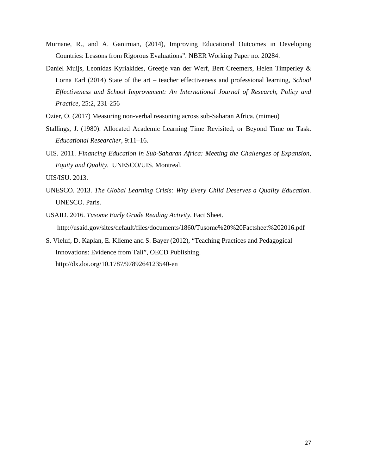- Murnane, R., and A. Ganimian, (2014), Improving Educational Outcomes in Developing Countries: Lessons from Rigorous Evaluations". NBER Working Paper no. 20284.
- Daniel Muijs, Leonidas Kyriakides, Greetje van der Werf, Bert Creemers, Helen Timperley & Lorna Earl (2014) State of the art – teacher effectiveness and professional learning, *School Effectiveness and School Improvement: An International Journal of Research, Policy and Practice*, 25:2, 231-256
- Ozier, O. (2017) Measuring non-verbal reasoning across sub-Saharan Africa. (mimeo)
- Stallings, J. (1980). Allocated Academic Learning Time Revisited, or Beyond Time on Task. *Educational Researcher*, 9:11–16.
- UIS. 2011. *Financing Education in Sub-Saharan Africa: Meeting the Challenges of Expansion, Equity and Quality.* UNESCO/UIS. Montreal.
- UIS/ISU. 2013.
- UNESCO. 2013. *The Global Learning Crisis: Why Every Child Deserves a Quality Education.* UNESCO. Paris.
- USAID. 2016. *Tusome Early Grade Reading Activity*. Fact Sheet. http://usaid.gov/sites/default/files/documents/1860/Tusome%20%20Factsheet%202016.pdf
- S. Vieluf, D. Kaplan, E. Klieme and S. Bayer (2012), "Teaching Practices and Pedagogical Innovations: Evidence from Tali", OECD Publishing. http://dx.doi.org/10.1787/9789264123540-en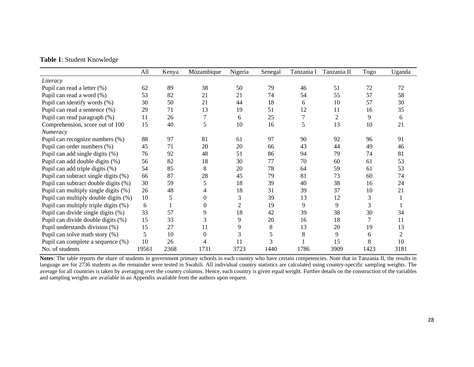|  |  | <b>Table 1: Student Knowledge</b> |  |  |
|--|--|-----------------------------------|--|--|
|--|--|-----------------------------------|--|--|

|                                      | All   | Kenya | Mozambique     | Nigeria | Senegal | Tanzania I | Tanzania II | Togo | Uganda |
|--------------------------------------|-------|-------|----------------|---------|---------|------------|-------------|------|--------|
| Literacy                             |       |       |                |         |         |            |             |      |        |
| Pupil can read a letter (%)          | 62    | 89    | 38             | 50      | 79      | 46         | 51          | 72   | 72     |
| Pupil can read a word (%)            | 53    | 82    | 21             | 21      | 74      | 54         | 55          | 57   | 58     |
| Pupil can identify words (%)         | 30    | 50    | 21             | 44      | 18      | 6          | 10          | 57   | 30     |
| Pupil can read a sentence (%)        | 29    | 71    | 13             | 19      | 51      | 12         | 11          | 16   | 35     |
| Pupil can read paragraph (%)         | 11    | 26    |                | 6       | 25      | 7          | 2           | 9    | 6      |
| Comprehension, score out of 100      | 15    | 40    | 5              | 10      | 16      | 5          | 13          | 10   | 21     |
| Numeracy                             |       |       |                |         |         |            |             |      |        |
| Pupil can recognize numbers (%)      | 88    | 97    | 81             | 61      | 97      | 90         | 92          | 96   | 91     |
| Pupil can order numbers (%)          | 45    | 71    | 20             | 20      | 66      | 43         | 44          | 49   | 46     |
| Pupil can add single digits (%)      | 76    | 92    | 48             | 51      | 86      | 94         | 79          | 74   | 81     |
| Pupil can add double digits (%)      | 56    | 82    | 18             | 30      | 77      | 70         | 60          | 61   | 53     |
| Pupil can add triple digits (%)      | 54    | 85    | 8              | 20      | 78      | 64         | 59          | 61   | 53     |
| Pupil can subtract single digits (%) | 66    | 87    | 28             | 45      | 79      | 81         | 73          | 60   | 74     |
| Pupil can subtract double digits (%) | 30    | 59    | 5              | 18      | 39      | 40         | 38          | 16   | 24     |
| Pupil can multiply single digits (%) | 26    | 48    |                | 18      | 31      | 39         | 37          | 10   | 21     |
| Pupil can multiply double digits (%) | 10    | 5     | 0              | 3       | 39      | 13         | 12          | 3    |        |
| Pupil can multiply triple digits (%) | 6     |       | $\overline{0}$ | 2       | 19      | 9          | 9           | 3    |        |
| Pupil can divide single digits (%)   | 33    | 57    | 9              | 18      | 42      | 39         | 38          | 30   | 34     |
| Pupil can divide double digits (%)   | 15    | 33    | 3              | 9       | 20      | 16         | 18          | 7    | 11     |
| Pupil understands division (%)       | 15    | 27    | 11             | 9       | 8       | 13         | 20          | 19   | 13     |
| Pupil can solve math story (%)       | 5     | 10    | $\theta$       | 3       | 5       | 8          | 9           | 6    | 2      |
| Pupil can complete a sequence (%)    | 10    | 26    |                |         | 3       |            | 15          | 8    | 10     |
| No. of students                      | 19561 | 2368  | 1731           | 3723    | 1440    | 1786       | 3909        | 1423 | 3181   |

**Notes**: The table reports the share of students in government primary schools in each country who have certain competencies. Note that in Tanzania II, the results in language are for 2736 students as the remainder were tested in Swahili. All individual country statistics are calculated using country-specific sampling weights. The average for all countries is taken by averaging over the country columns. Hence, each country is given equal weight. Further details on the construction of the variables and sampling weights are available in an Appendix available from the authors upon request.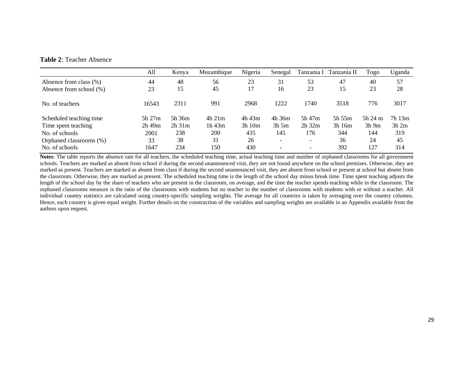#### **Table 2**: Teacher Absence

|                         | All         | Kenya       | Mozambique  | Nigeria     | Senegal                  | Tanzania I               | Tanzania II | Togo    | Uganda |
|-------------------------|-------------|-------------|-------------|-------------|--------------------------|--------------------------|-------------|---------|--------|
| Absence from class (%)  | 44          | 48          | 56          | 23          | 31                       | 53                       | 47          | 40      | 57     |
| Absence from school (%) | 23          | 15          | 45          | 17          | 16                       | 23                       | 15          | 23      | 28     |
| No. of teachers         | 16543       | 2311        | 991         | 2968        | 1222                     | 1740                     | 3518        | 776     | 3017   |
| Scheduled teaching time | $5h$ 27 $m$ | 5h 36m      | $4h$ 21 $m$ | 4h 43m      | 4h 36m                   | 5h 47m                   | 5h 55m      | 5h24m   | 7h 13m |
| Time spent teaching     | $2h$ 49 $m$ | $2h$ 31 $m$ | $1h$ 43 $m$ | $3h$ 10 $m$ | $3h$ 5m                  | $2h$ 32 $m$              | 3h16m       | $3h$ 9m | 3h2m   |
| No. of schools          | 2001        | 238         | 200         | 435         | 145                      | 176                      | 344         | 144     | 319    |
| Orphaned classrooms (%) | 33          | 38          | 31          | 26          | $\overline{\phantom{a}}$ | $\overline{\phantom{0}}$ | 36          | 24      | 45     |
| No. of schools          | 1647        | 234         | 150         | 430         |                          | $\overline{\phantom{0}}$ | 392         | 127     | 314    |

**Notes**: The table reports the absence rate for all teachers, the scheduled teaching time, actual teaching time and number of orphaned classrooms for all government schools. Teachers are marked as absent from school if during the second unannounced visit, they are not found anywhere on the school premises. Otherwise, they are marked as present. Teachers are marked as absent from class if during the second unannounced visit, they are absent from school or present at school but absent from the classroom. Otherwise, they are marked as present. The scheduled teaching time is the length of the school day minus break time. Time spent teaching adjusts the length of the school day by the share of teachers who are present in the classroom, on average, and the time the teacher spends teaching while in the classroom. The orphaned classrooms measure is the ratio of the classrooms with students but no teacher to the number of classrooms with students with or without a teacher. All individual country statistics are calculated using country-specific sampling weights. The average for all countries is taken by averaging over the country columns. Hence, each country is given equal weight. Further details on the construction of the variables and sampling weights are available in an Appendix available from the authors upon request.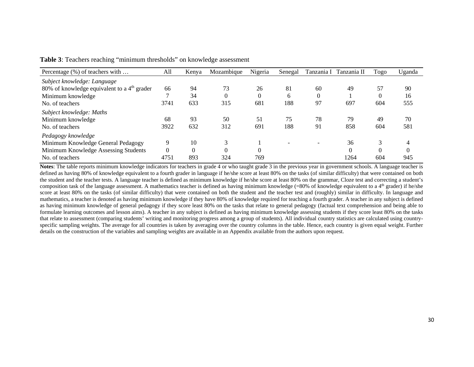| Percentage (%) of teachers with               | All      | Kenva | Mozambique     | Nigeria  | Senegal                  |                          | Tanzania I Tanzania II | Togo     | Uganda   |
|-----------------------------------------------|----------|-------|----------------|----------|--------------------------|--------------------------|------------------------|----------|----------|
| Subject knowledge: Language                   |          |       |                |          |                          |                          |                        |          |          |
| 80% of knowledge equivalent to a $4th$ grader | 66       | 94    | 73             | 26       | 81                       | 60                       | 49                     | 57       | 90       |
| Minimum knowledge                             |          | 34    | $\overline{0}$ | $\Omega$ | $\sigma$                 | $\theta$                 |                        | $\Omega$ | 16       |
| No. of teachers                               | 3741     | 633   | 315            | 681      | 188                      | 97                       | 697                    | 604      | 555      |
| Subject knowledge: Maths                      |          |       |                |          |                          |                          |                        |          |          |
| Minimum knowledge                             | 68       | 93    | 50             | 51       | 75                       | 78                       | 79                     | 49       | 70       |
| No. of teachers                               | 3922     | 632   | 312            | 691      | 188                      | 91                       | 858                    | 604      | 581      |
| Pedagogy knowledge                            |          |       |                |          |                          |                          |                        |          |          |
| Minimum Knowledge General Pedagogy            | 9        | 10    | 3              |          | $\overline{\phantom{0}}$ | $\overline{\phantom{a}}$ | 36                     | 3        |          |
| Minimum Knowledge Assessing Students          | $\Omega$ |       | $\theta$       | $\Omega$ |                          |                          | 0                      | $\theta$ | $\Omega$ |
| No. of teachers                               | 4751     | 893   | 324            | 769      |                          |                          | 1264                   | 604      | 945      |

**Table 3**: Teachers reaching "minimum thresholds" on knowledge assessment

**Notes**: The table reports minimum knowledge indicators for teachers in grade 4 or who taught grade 3 in the previous year in government schools. A language teacher is defined as having 80% of knowledge equivalent to a fourth grader in language if he/she score at least 80% on the tasks (of similar difficulty) that were contained on both the student and the teacher tests. A language teacher is defined as minimum knowledge if he/she score at least 80% on the grammar, Cloze test and correcting a student's composition task of the language assessment. A mathematics teacher is defined as having minimum knowledge  $(=80\%$  of knowledge equivalent to a 4<sup>th</sup> grader) if he/she score at least 80% on the tasks (of similar difficulty) that were contained on both the student and the teacher test and (roughly) similar in difficulty. In language and mathematics, a teacher is denoted as having minimum knowledge if they have 80% of knowledge required for teaching a fourth grader. A teacher in any subject is defined as having minimum knowledge of general pedagogy if they score least 80% on the tasks that relate to general pedagogy (factual text comprehension and being able to formulate learning outcomes and lesson aims). A teacher in any subject is defined as having minimum knowledge assessing students if they score least 80% on the tasks that relate to assessment (comparing students' writing and monitoring progress among a group of students). All individual country statistics are calculated using countryspecific sampling weights. The average for all countries is taken by averaging over the country columns in the table. Hence, each country is given equal weight. Further details on the construction of the variables and sampling weights are available in an Appendix available from the authors upon request.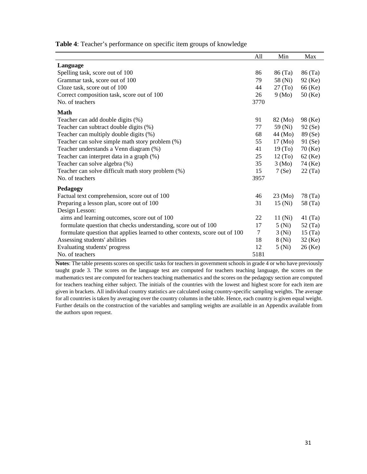**Table 4**: Teacher's performance on specific item groups of knowledge

|                                                                             | All  | Min                 | Max       |
|-----------------------------------------------------------------------------|------|---------------------|-----------|
| Language                                                                    |      |                     |           |
| Spelling task, score out of 100                                             | 86   | 86 (Ta)             | 86 (Ta)   |
| Grammar task, score out of 100                                              | 79   | 58 (Ni)             | 92 (Ke)   |
| Cloze task, score out of 100                                                | 44   | 27 (To)             | 66 (Ke)   |
| Correct composition task, score out of 100                                  | 26   | 9 (Mo)              | $50$ (Ke) |
| No. of teachers                                                             | 3770 |                     |           |
| <b>Math</b>                                                                 |      |                     |           |
| Teacher can add double digits (%)                                           | 91   | 82 (Mo)             | 98 (Ke)   |
| Teacher can subtract double digits (%)                                      | 77   | 59 (Ni)             | 92(Se)    |
| Teacher can multiply double digits (%)                                      | 68   | 44 (Mo)             | 89 (Se)   |
| Teacher can solve simple math story problem (%)                             | 55   | 17 (Mo)             | 91(Se)    |
| Teacher understands a Venn diagram (%)                                      | 41   | 19(T <sub>0</sub> ) | $70$ (Ke) |
| Teacher can interpret data in a graph (%)                                   | 25   | 12(T <sub>0</sub> ) | $62$ (Ke) |
| Teacher can solve algebra (%)                                               | 35   | $3 \text{ (Mo)}$    | 74 (Ke)   |
| Teacher can solve difficult math story problem (%)                          | 15   | 7(Se)               | 22(Ta)    |
| No. of teachers                                                             | 3957 |                     |           |
| Pedagogy                                                                    |      |                     |           |
| Factual text comprehension, score out of 100                                | 46   | $23 \, (Mo)$        | 78 (Ta)   |
| Preparing a lesson plan, score out of 100                                   | 31   | 15(Ni)              | 58 (Ta)   |
| Design Lesson:                                                              |      |                     |           |
| aims and learning outcomes, score out of 100                                | 22   | 11 (Ni)             | 41 (Ta)   |
| formulate question that checks understanding, score out of 100              | 17   | 5(Ni)               | 52 (Ta)   |
| formulate question that applies learned to other contexts, score out of 100 | 7    | 3 (Ni)              | 15(Ta)    |
| Assessing students' abilities                                               | 18   | 8 (Ni)              | $32$ (Ke) |
| Evaluating students' progress                                               | 12   | 5(Ni)               | $26$ (Ke) |
| No. of teachers                                                             | 5181 |                     |           |

**Notes**: The table presents scores on specific tasks for teachers in government schools in grade 4 or who have previously taught grade 3. The scores on the language test are computed for teachers teaching language, the scores on the mathematics test are computed for teachers teaching mathematics and the scores on the pedagogy section are computed for teachers teaching either subject. The initials of the countries with the lowest and highest score for each item are given in brackets. All individual country statistics are calculated using country-specific sampling weights. The average for all countries is taken by averaging over the country columns in the table. Hence, each country is given equal weight. Further details on the construction of the variables and sampling weights are available in an Appendix available from the authors upon request.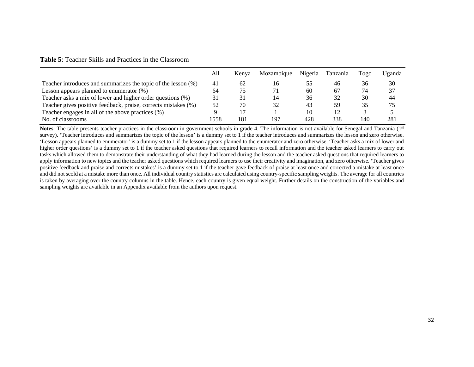#### **Table 5**: Teacher Skills and Practices in the Classroom

|                                                                | All  | Kenva | Mozambique | Nigeria | Tanzania | Togo | Uganda |
|----------------------------------------------------------------|------|-------|------------|---------|----------|------|--------|
| Teacher introduces and summarizes the topic of the lesson (%)  | 41   | 62    | 16         |         | 46       | 36   | 30     |
| Lesson appears planned to enumerator $(\%)$                    | 64   | 75    | 71         | 60      | -67      | 74   | 37     |
| Teacher asks a mix of lower and higher order questions (%)     | 31   | 31    | 14         | 36      | 32       | 30   | 44     |
| Teacher gives positive feedback, praise, corrects mistakes (%) | 52   | 70    | 32         | 43      | 59       | 35   | 75     |
| Teacher engages in all of the above practices (%)              |      |       |            | 10      |          |      |        |
| No. of classrooms                                              | 1558 | 181   | 197        | 428     | 338      | 140  | 281    |

**Notes**: The table presents teacher practices in the classroom in government schools in grade 4. The information is not available for Senegal and Tanzania (1<sup>st</sup>) survey). 'Teacher introduces and summarizes the topic of the lesson' is a dummy set to 1 if the teacher introduces and summarizes the lesson and zero otherwise. 'Lesson appears planned to enumerator' is a dummy set to 1 if the lesson appears planned to the enumerator and zero otherwise. 'Teacher asks a mix of lower and higher order questions' is a dummy set to 1 if the teacher asked questions that required learners to recall information and the teacher asked learners to carry out tasks which allowed them to demonstrate their understanding of what they had learned during the lesson and the teacher asked questions that required learners to apply information to new topics and the teacher asked questions which required learners to use their creativity and imagination, and zero otherwise. 'Teacher gives positive feedback and praise and corrects mistakes' is a dummy set to 1 if the teacher gave feedback of praise at least once and corrected a mistake at least once and did not scold at a mistake more than once. All individual country statistics are calculated using country-specific sampling weights. The average for all countries is taken by averaging over the country columns in the table. Hence, each country is given equal weight. Further details on the construction of the variables and sampling weights are available in an Appendix available from the authors upon request.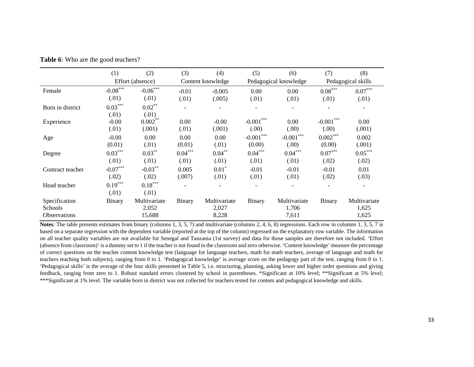|                     | (1)        | (2)              | (3)           | (4)               | (5)                   | (6)          | (7)         | (8)                |
|---------------------|------------|------------------|---------------|-------------------|-----------------------|--------------|-------------|--------------------|
|                     |            | Effort (absence) |               | Content knowledge | Pedagogical knowledge |              |             | Pedagogical skills |
| Female              | $-0.08***$ | $-0.06***$       | $-0.01$       | $-0.005$          | 0.00                  | 0.00         | $0.08***$   | $0.07***$          |
|                     | (.01)      | (.01)            | (.01)         | (.005)            | (.01)                 | (.01)        | (.01)       | (.01)              |
| Born in district    | $0.03***$  | $0.02***$        |               |                   |                       |              |             |                    |
|                     | (.01)      | (.01)            |               |                   |                       |              |             |                    |
| Experience          | $-0.00$    | $0.002***$       | 0.00          | $-0.00$           | $-0.001***$           | 0.00         | $-0.001***$ | 0.00               |
|                     | (.01)      | (.001)           | (.01)         | (.001)            | (0.00)                | (0.00)       | (0.00)      | (.001)             |
| Age                 | $-0.00$    | 0.00             | 0.00          | 0.00              | $-0.001***$           | $-0.001***$  | $0.002***$  | 0.002              |
|                     | (0.01)     | (.01)            | (0.01)        | (.01)             | (0.00)                | (0.00)       | (0.00)      | (.001)             |
| Degree              | $0.03***$  | $0.03***$        | $0.04***$     | $0.04***$         | $0.04***$             | $0.04***$    | $0.07***$   | $0.05***$          |
|                     | (.01)      | (.01)            | (.01)         | (.01)             | (.01)                 | (.01)        | (.02)       | (.02)              |
| Contract teacher    | $-0.07***$ | $-0.03***$       | 0.005         | $0.01*$           | $-0.01$               | $-0.01$      | $-0.01$     | 0.01               |
|                     | (.02)      | (.02)            | (.007)        | (.01)             | (.01)                 | (.01)        | (.02)       | (.03)              |
| Head teacher        | $0.19***$  | $0.18***$        |               |                   |                       | ۰            |             |                    |
|                     | (.01)      | (.01)            |               |                   |                       |              |             |                    |
| Specification       | Binary     | Multivariate     | <b>Binary</b> | Multivariate      | Binary                | Multivariate | Binary      | Multivariate       |
| Schools             |            | 2,052            |               | 2,027             |                       | 1,706        |             | 1,625              |
| <b>Observations</b> |            | 15,688           |               | 8,228             |                       | 7,611        |             | 1,625              |

**Table 6**: Who are the good teachers?

**Notes**: The table presents estimates from binary (columns 1, 3, 5, 7) and multivariate (columns 2, 4, 6, 8) regressions. Each row in columns 1, 3, 5, 7 is based on a separate regression with the dependent variable (reported at the top of the column) regressed on the explanatory row variable. The information on all teacher quality variables are not available for Senegal and Tanzania (1st survey) and data for those samples are therefore not included. 'Effort (absence from classroom)' is a dummy set to 1 if the teacher is not found in the classroom and zero otherwise. 'Content knowledge' measure the percentage of correct questions on the teacher content knowledge test (language for language teachers, math for math teachers, average of language and math for teachers teaching both subjects), ranging from 0 to 1. 'Pedagogical knowledge' is average score on the pedagogy part of the test, ranging from 0 to 1. 'Pedagogical skills' is the average of the four skills presented in Table 5, i.e. structuring, planning, asking lower and higher order questions and giving feedback, ranging from zero to 1. Robust standard errors clustered by school in parentheses. \*Significant at 10% level; \*\*Significant at 5% level; \*\*\*Significant at 1% level. The variable born in district was not collected for teachers tested for content and pedagogical knowledge and skills.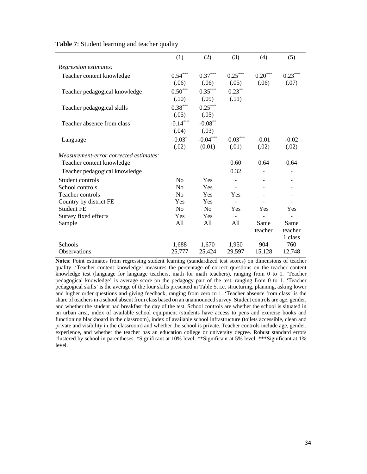|                                        | (1)            | (2)            | (3)        | (4)                   | (5)       |
|----------------------------------------|----------------|----------------|------------|-----------------------|-----------|
| Regression estimates:                  |                |                |            |                       |           |
| Teacher content knowledge              | $0.54***$      | $0.37***$      | $0.25***$  | $0.20^{\ast\ast\ast}$ | $0.23***$ |
|                                        | (.06)          | (.06)          | (.05)      | (.06)                 | (.07)     |
| Teacher pedagogical knowledge          | $0.50***$      | $0.35***$      | $0.23***$  |                       |           |
|                                        | (.10)          | (.09)          | (.11)      |                       |           |
| Teacher pedagogical skills             | $0.38***$      | $0.25***$      |            |                       |           |
|                                        | (.05)          | (.05)          |            |                       |           |
| Teacher absence from class             | $-0.14***$     | $-0.08***$     |            |                       |           |
|                                        | (.04)          | (.03)          |            |                       |           |
| Language                               | $-0.03*$       | $-0.04***$     | $-0.03***$ | $-0.01$               | $-0.02$   |
|                                        | (.02)          | (0.01)         | (.01)      | (.02)                 | (.02)     |
| Measurement-error corrected estimates: |                |                |            |                       |           |
| Teacher content knowledge              |                |                | 0.60       | 0.64                  | 0.64      |
| Teacher pedagogical knowledge          |                |                | 0.32       |                       |           |
| Student controls                       | N <sub>o</sub> | Yes            |            |                       |           |
| School controls                        | N <sub>0</sub> | Yes            |            |                       |           |
| Teacher controls                       | N <sub>o</sub> | Yes            | Yes        |                       |           |
| Country by district FE                 | Yes            | Yes            |            |                       |           |
| <b>Student FE</b>                      | N <sub>0</sub> | N <sub>0</sub> | Yes        | Yes                   | Yes       |
| Survey fixed effects                   | Yes            | Yes            |            |                       |           |
| Sample                                 | All            | All            | All        | Same                  | Same      |
|                                        |                |                |            | teacher               | teacher   |
|                                        |                |                |            |                       | 1 class   |
| Schools                                | 1,688          | 1,670          | 1,950      | 904                   | 760       |
| Observations                           | 25,777         | 25,424         | 29,597     | 15,128                | 12,748    |

**Table 7**: Student learning and teacher quality

**Notes**: Point estimates from regressing student learning (standardized test scores) on dimensions of teacher quality. 'Teacher content knowledge' measures the percentage of correct questions on the teacher content knowledge test (language for language teachers, math for math teachers), ranging from 0 to 1. 'Teacher pedagogical knowledge' is average score on the pedagogy part of the test, ranging from 0 to 1. 'Teacher pedagogical skills' is the average of the four skills presented in Table 5, i.e. structuring, planning, asking lower and higher order questions and giving feedback, ranging from zero to 1. 'Teacher absence from class' is the share of teachers in a school absent from class based on an unannounced survey. Student controls are age, gender, and whether the student had breakfast the day of the test. School controls are whether the school is situated in an urban area, index of available school equipment (students have access to pens and exercise books and functioning blackboard in the classroom), index of available school infrastructure (toilets accessible, clean and private and visibility in the classroom) and whether the school is private. Teacher controls include age, gender, experience, and whether the teacher has an education college or university degree. Robust standard errors clustered by school in parentheses. \*Significant at 10% level; \*\*Significant at 5% level; \*\*\*Significant at 1% level.